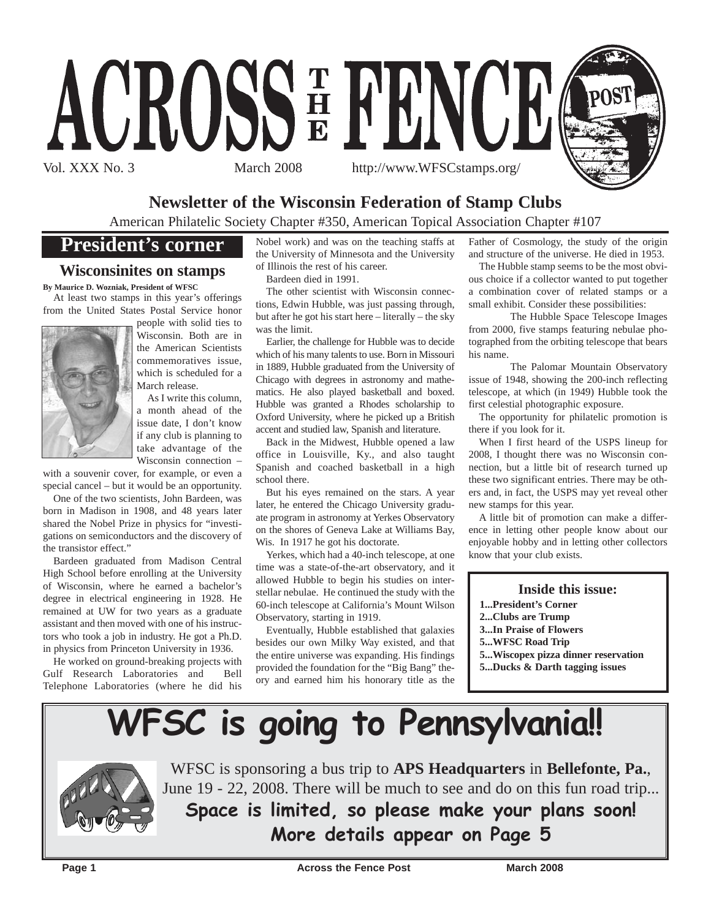

## **Newsletter of the Wisconsin Federation of Stamp Clubs**

American Philatelic Society Chapter #350, American Topical Association Chapter #107

## **President's corner**

### **Wisconsinites on stamps**

**By Maurice D. Wozniak, President of WFSC** At least two stamps in this year's offerings from the United States Postal Service honor



people with solid ties to Wisconsin. Both are in the American Scientists commemoratives issue, which is scheduled for a March release.

As I write this column, a month ahead of the issue date, I don't know if any club is planning to take advantage of the Wisconsin connection –

with a souvenir cover, for example, or even a special cancel – but it would be an opportunity.

One of the two scientists, John Bardeen, was born in Madison in 1908, and 48 years later shared the Nobel Prize in physics for "investigations on semiconductors and the discovery of the transistor effect."

Bardeen graduated from Madison Central High School before enrolling at the University of Wisconsin, where he earned a bachelor's degree in electrical engineering in 1928. He remained at UW for two years as a graduate assistant and then moved with one of his instructors who took a job in industry. He got a Ph.D. in physics from Princeton University in 1936.

He worked on ground-breaking projects with Gulf Research Laboratories and Bell Telephone Laboratories (where he did his

Nobel work) and was on the teaching staffs at the University of Minnesota and the University of Illinois the rest of his career.

Bardeen died in 1991.

The other scientist with Wisconsin connections, Edwin Hubble, was just passing through, but after he got his start here – literally – the sky was the limit.

Earlier, the challenge for Hubble was to decide which of his many talents to use. Born in Missouri in 1889, Hubble graduated from the University of Chicago with degrees in astronomy and mathematics. He also played basketball and boxed. Hubble was granted a Rhodes scholarship to Oxford University, where he picked up a British accent and studied law, Spanish and literature.

Back in the Midwest, Hubble opened a law office in Louisville, Ky., and also taught Spanish and coached basketball in a high school there.

But his eyes remained on the stars. A year later, he entered the Chicago University graduate program in astronomy at Yerkes Observatory on the shores of Geneva Lake at Williams Bay, Wis. In 1917 he got his doctorate.

Yerkes, which had a 40-inch telescope, at one time was a state-of-the-art observatory, and it allowed Hubble to begin his studies on interstellar nebulae. He continued the study with the 60-inch telescope at California's Mount Wilson Observatory, starting in 1919.

Eventually, Hubble established that galaxies besides our own Milky Way existed, and that the entire universe was expanding. His findings provided the foundation for the "Big Bang" theory and earned him his honorary title as the

Father of Cosmology, the study of the origin and structure of the universe. He died in 1953.

The Hubble stamp seems to be the most obvious choice if a collector wanted to put together a combination cover of related stamps or a small exhibit. Consider these possibilities:

The Hubble Space Telescope Images from 2000, five stamps featuring nebulae photographed from the orbiting telescope that bears his name.

The Palomar Mountain Observatory issue of 1948, showing the 200-inch reflecting telescope, at which (in 1949) Hubble took the first celestial photographic exposure.

The opportunity for philatelic promotion is there if you look for it.

When I first heard of the USPS lineup for 2008, I thought there was no Wisconsin connection, but a little bit of research turned up these two significant entries. There may be others and, in fact, the USPS may yet reveal other new stamps for this year.

A little bit of promotion can make a difference in letting other people know about our enjoyable hobby and in letting other collectors know that your club exists.

#### **Inside this issue:**

- **1...President's Corner**
- **2...Clubs are Trump**
- **3...In Praise of Flowers**
- **5...WFSC Road Trip**
- **5...Wiscopex pizza dinner reservation**
- **5...Ducks & Darth tagging issues**

# **WFSC is going to Pennsylvania!!**



WFSC is sponsoring a bus trip to **APS Headquarters** in **Bellefonte, Pa.**, June 19 - 22, 2008. There will be much to see and do on this fun road trip... **Space is limited, so please make your plans soon!**

**More details appear on Page 5**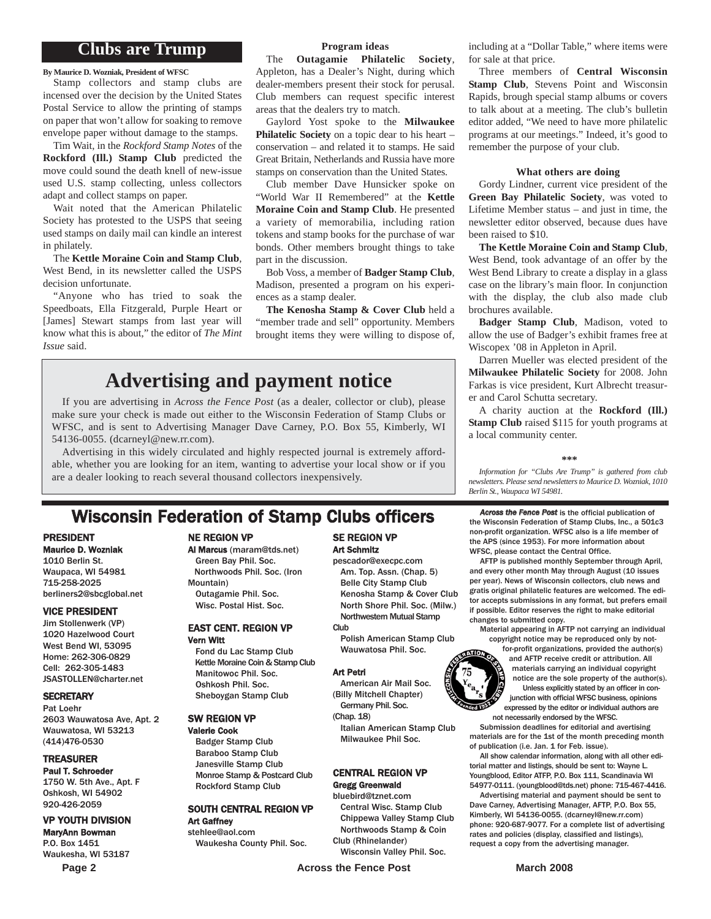### **Clubs are Trump**

**By Maurice D. Wozniak, President of WFSC**

Stamp collectors and stamp clubs are incensed over the decision by the United States Postal Service to allow the printing of stamps on paper that won't allow for soaking to remove envelope paper without damage to the stamps.

Tim Wait, in the *Rockford Stamp Notes* of the **Rockford (Ill.) Stamp Club** predicted the move could sound the death knell of new-issue used U.S. stamp collecting, unless collectors adapt and collect stamps on paper.

Wait noted that the American Philatelic Society has protested to the USPS that seeing used stamps on daily mail can kindle an interest in philately.

The **Kettle Moraine Coin and Stamp Club**, West Bend, in its newsletter called the USPS decision unfortunate.

"Anyone who has tried to soak the Speedboats, Ella Fitzgerald, Purple Heart or [James] Stewart stamps from last year will know what this is about," the editor of *The Mint Issue* said.

### **Program ideas**

The **Outagamie Philatelic Society**, Appleton, has a Dealer's Night, during which dealer-members present their stock for perusal. Club members can request specific interest areas that the dealers try to match.

Gaylord Yost spoke to the **Milwaukee Philatelic Society** on a topic dear to his heart – conservation – and related it to stamps. He said Great Britain, Netherlands and Russia have more stamps on conservation than the United States.

Club member Dave Hunsicker spoke on "World War II Remembered" at the **Kettle Moraine Coin and Stamp Club**. He presented a variety of memorabilia, including ration tokens and stamp books for the purchase of war bonds. Other members brought things to take part in the discussion.

Bob Voss, a member of **Badger Stamp Club**, Madison, presented a program on his experiences as a stamp dealer.

**The Kenosha Stamp & Cover Club** held a "member trade and sell" opportunity. Members brought items they were willing to dispose of,

## **Advertising and payment notice**

If you are advertising in *Across the Fence Post* (as a dealer, collector or club), please make sure your check is made out either to the Wisconsin Federation of Stamp Clubs or WFSC, and is sent to Advertising Manager Dave Carney, P.O. Box 55, Kimberly, WI 54136-0055. (dcarneyl@new.rr.com).

Advertising in this widely circulated and highly respected journal is extremely affordable, whether you are looking for an item, wanting to advertise your local show or if you are a dealer looking to reach several thousand collectors inexpensively.

## **Wisconsin Federation of Stamp Clubs officers** *Across the Fence Post* is the official publication of

### PRESIDENT

Maurice D. Wozniak 1010 Berlin St. Waupaca, WI 54981 715-258-2025 berliners2@sbcglobal.net

#### VICE PRESIDENT

Jim Stollenwerk (VP) 1020 Hazelwood Court West Bend WI, 53095 Home: 262-306-0829 Cell: 262-305-1483 JSASTOLLEN@charter.net

#### **SECRETARY**

Pat Loehr 2603 Wauwatosa Ave, Apt. 2 Wauwatosa, WI 53213 (414)476-0530

#### TREASURER

Paul T. Schroeder 1750 W. 5th Ave., Apt. F Oshkosh, WI 54902 920-426-2059

#### VP YOUTH DIVISION

MaryAnn Bowman P.O. Box 1451 Waukesha, WI 53187

#### NE REGION VP

### Al Marcus (maram@tds.net)

Green Bay Phil. Soc. Northwoods Phil. Soc. (Iron Mountain) Outagamie Phil. Soc. Wisc. Postal Hist. Soc.

#### EAST CENT. REGION VP Vern Witt

Fond du Lac Stamp Club Kettle Moraine Coin & Stamp Club Manitowoc Phil. Soc. Oshkosh Phil. Soc. Sheboygan Stamp Club

#### SW REGION VP

Valerie Cook Badger Stamp Club Baraboo Stamp Club Janesville Stamp Club Monroe Stamp & Postcard Club Rockford Stamp Club

### SOUTH CENTRAL REGION VP Art Gaffney

stehlee@aol.com Waukesha County Phil. Soc.

### SE REGION VP Art Schmitz

pescador@execpc.com Am. Top. Assn. (Chap. 5) Belle City Stamp Club Kenosha Stamp & Cover Club North Shore Phil. Soc. (Milw.) Northwestern Mutual Stamp **Club** 

Polish American Stamp Club Wauwatosa Phil. Soc.

#### Art Petri

American Air Mail Soc. (Billy Mitchell Chapter) Germany Phil. Soc.

(Chap. 18) Italian American Stamp Club Milwaukee Phil Soc.

### CENTRAL REGION VP

### Gregg Greenwald

bluebird@tznet.com Central Wisc. Stamp Club Chippewa Valley Stamp Club Northwoods Stamp & Coin Club (Rhinelander)

Wisconsin Valley Phil. Soc.

including at a "Dollar Table," where items were for sale at that price.

Three members of **Central Wisconsin Stamp Club**, Stevens Point and Wisconsin Rapids, brough special stamp albums or covers to talk about at a meeting. The club's bulletin editor added, "We need to have more philatelic programs at our meetings." Indeed, it's good to remember the purpose of your club.

#### **What others are doing**

Gordy Lindner, current vice president of the **Green Bay Philatelic Society**, was voted to Lifetime Member status – and just in time, the newsletter editor observed, because dues have been raised to \$10.

**The Kettle Moraine Coin and Stamp Club**, West Bend, took advantage of an offer by the West Bend Library to create a display in a glass case on the library's main floor. In conjunction with the display, the club also made club brochures available.

**Badger Stamp Club**, Madison, voted to allow the use of Badger's exhibit frames free at Wiscopex '08 in Appleton in April.

Darren Mueller was elected president of the **Milwaukee Philatelic Society** for 2008. John Farkas is vice president, Kurt Albrecht treasurer and Carol Schutta secretary.

A charity auction at the **Rockford (Ill.) Stamp Club** raised \$115 for youth programs at a local community center.

#### **\*\*\***

*Information for "Clubs Are Trump" is gathered from club newsletters. Please send newsletters to Maurice D. Wozniak, 1010 Berlin St., Waupaca WI 54981.*

the Wisconsin Federation of Stamp Clubs, Inc., a 501c3 non-profit organization. WFSC also is a life member of the APS (since 1953). For more information about WFSC, please contact the Central Office.

AFTP is published monthly September through April, and every other month May through August (10 issues per year). News of Wisconsin collectors, club news and gratis original philatelic features are welcomed. The editor accepts submissions in any format, but prefers email if possible. Editor reserves the right to make editorial changes to submitted copy.

Material appearing in AFTP not carrying an individual copyright notice may be reproduced only by not-

for-profit organizations, provided the author(s) and AFTP receive credit or attribution. All materials carrying an individual copyright notice are the sole property of the author(s). Unless explicitly stated by an officer in conjunction with official WFSC business, opinions expressed by the editor or individual authors are not necessarily endorsed by the WFSC.

Submission deadlines for editorial and avertising materials are for the 1st of the month preceding month of publication (i.e. Jan. 1 for Feb. issue).

All show calendar information, along with all other editorial matter and listings, should be sent to: Wayne L. Youngblood, Editor ATFP, P.O. Box 111, Scandinavia WI 54977-0111. (youngblood@tds.net) phone: 715-467-4416.

Advertising material and payment should be sent to Dave Carney, Advertising Manager, AFTP, P.O. Box 55, Kimberly, WI 54136-0055. (dcarneyl@new.rr.com) phone: 920-687-9077. For a complete list of advertising rates and policies (display, classified and listings), request a copy from the advertising manager.

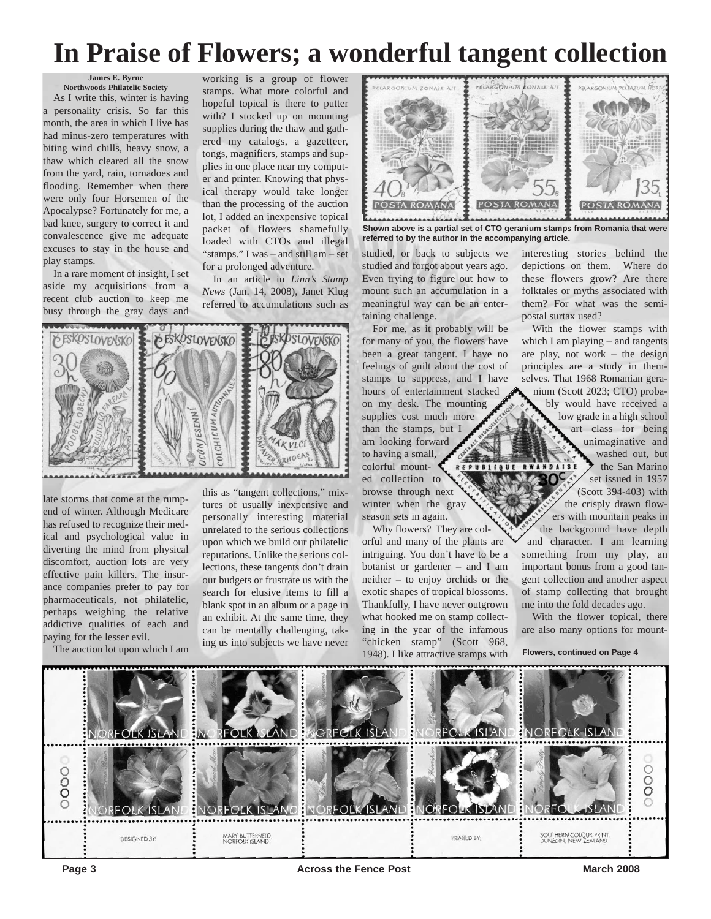## **In Praise of Flowers; a wonderful tangent collection**

#### **James E. Byrne Northwoods Philatelic Society**

As I write this, winter is having a personality crisis. So far this month, the area in which I live has had minus-zero temperatures with biting wind chills, heavy snow, a thaw which cleared all the snow from the yard, rain, tornadoes and flooding. Remember when there were only four Horsemen of the Apocalypse? Fortunately for me, a bad knee, surgery to correct it and convalescence give me adequate excuses to stay in the house and play stamps.

In a rare moment of insight, I set aside my acquisitions from a recent club auction to keep me busy through the gray days and

working is a group of flower stamps. What more colorful and hopeful topical is there to putter with? I stocked up on mounting supplies during the thaw and gathered my catalogs, a gazetteer, tongs, magnifiers, stamps and supplies in one place near my computer and printer. Knowing that physical therapy would take longer than the processing of the auction lot, I added an inexpensive topical packet of flowers shamefully loaded with CTOs and illegal "stamps." I was – and still am – set for a prolonged adventure.

In an article in *Linn's Stamp News* (Jan. 14, 2008), Janet Klug referred to accumulations such as



late storms that come at the rumpend of winter. Although Medicare has refused to recognize their medical and psychological value in diverting the mind from physical discomfort, auction lots are very effective pain killers. The insurance companies prefer to pay for pharmaceuticals, not philatelic, perhaps weighing the relative addictive qualities of each and paying for the lesser evil.

The auction lot upon which I am

this as "tangent collections," mixtures of usually inexpensive and personally interesting material unrelated to the serious collections upon which we build our philatelic reputations. Unlike the serious collections, these tangents don't drain our budgets or frustrate us with the search for elusive items to fill a blank spot in an album or a page in an exhibit. At the same time, they can be mentally challenging, taking us into subjects we have never



**Shown above is a partial set of CTO geranium stamps from Romania that were referred to by the author in the accompanying article.**

studied, or back to subjects we studied and forgot about years ago. Even trying to figure out how to mount such an accumulation in a meaningful way can be an entertaining challenge.

For me, as it probably will be for many of you, the flowers have been a great tangent. I have no feelings of guilt about the cost of stamps to suppress, and I have hours of entertainment stacked on my desk. The mounting supplies cost much more than the stamps, but I am looking forward to having a small, colorful mounted collection to browse through next winter when the gray season sets in again.

Why flowers? They are colorful and many of the plants are intriguing. You don't have to be a botanist or gardener – and I am neither – to enjoy orchids or the exotic shapes of tropical blossoms. Thankfully, I have never outgrown what hooked me on stamp collecting in the year of the infamous "chicken stamp" (Scott 968, 1948). I like attractive stamps with

interesting stories behind the depictions on them. Where do these flowers grow? Are there folktales or myths associated with them? For what was the semipostal surtax used?

With the flower stamps with which I am playing – and tangents are play, not work – the design principles are a study in themselves. That 1968 Romanian geranium (Scott 2023; CTO) probably would have received a low grade in a high school art class for being unimaginative and washed out, but the San Marino REPUBLIQUE RWANDAISE  $OC$ set issued in 1957 (Scott 394-403) with the crisply drawn flowers with mountain peaks in the background have depth and character. I am learning something from my play, an important bonus from a good tangent collection and another aspect of stamp collecting that brought me into the fold decades ago.

With the flower topical, there are also many options for mount-

**Flowers, continued on Page 4**

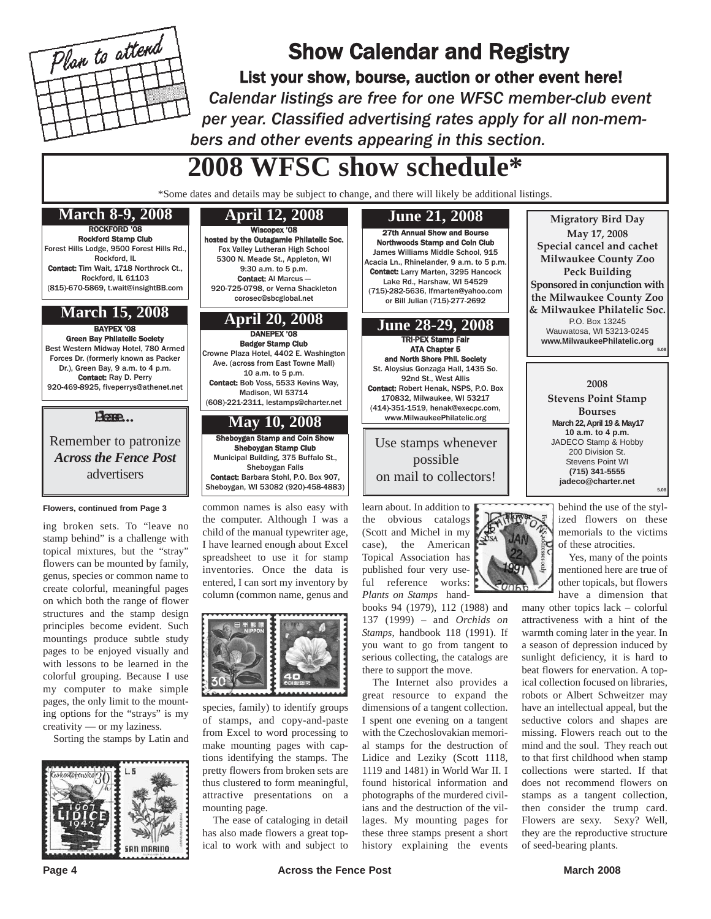

## Show Calendar and Registry

List your show, bourse, auction or other event here! *Calendar listings are free for one WFSC member-club event per year. Classified advertising rates apply for all non-members and other events appearing in this section.*

## **2008 WFSC show schedule\***

\*Some dates and details may be subject to change, and there will likely be additional listings.

## ROCKFORD '08

Rockford Stamp Club Forest Hills Lodge, 9500 Forest Hills Rd., Rockford, IL Contact: Tim Wait, 1718 Northrock Ct. Rockford, IL 61103 (815)-670-5869, t.wait@insightBB.com

## **March 15, 2008**

BAYPEX '08 Green Bay Philatelic Society Best Western Midway Hotel, 780 Armed Forces Dr. (formerly known as Packer Dr.), Green Bay, 9 a.m. to 4 p.m. Contact: Ray D. Perry 920-469-8925, fiveperrys@athenet.net

#### Please...

Remember to patronize *Across the Fence Post* advertisers

#### **Flowers, continued from Page 3**

ing broken sets. To "leave no stamp behind" is a challenge with topical mixtures, but the "stray" flowers can be mounted by family, genus, species or common name to create colorful, meaningful pages on which both the range of flower structures and the stamp design principles become evident. Such mountings produce subtle study pages to be enjoyed visually and with lessons to be learned in the colorful grouping. Because I use my computer to make simple pages, the only limit to the mounting options for the "strays" is my creativity — or my laziness.

Sorting the stamps by Latin and



**April 12, 2008**

#### Wiscopex '08 hosted by the Outagamie Philatelic Soc.

Fox Valley Lutheran High School 5300 N. Meade St., Appleton, WI 9:30 a.m. to 5 p.m. Contact: Al Marcus — 920-725-0798, or Verna Shackleton corosec@sbcglobal.net

DANEPEX '08 Badger Stamp Club Crowne Plaza Hotel, 4402 E. Washington Ave. (across from East Towne Mall) 10 a.m. to 5 p.m. Contact: Bob Voss, 5533 Kevins Way, Madison, WI 53714 (608)-221-2311, lestamps@charter.net

## **May 10, 2008**

Sheboygan Stamp and Coin Show Sheboygan Stamp Club Municipal Building, 375 Buffalo St., Sheboygan Falls Contact: Barbara Stohl, P.O. Box 907, Sheboygan, WI 53082 (920)-458-4883)

common names is also easy with the computer. Although I was a child of the manual typewriter age, I have learned enough about Excel spreadsheet to use it for stamp inventories. Once the data is entered, I can sort my inventory by column (common name, genus and



species, family) to identify groups of stamps, and copy-and-paste from Excel to word processing to make mounting pages with captions identifying the stamps. The pretty flowers from broken sets are thus clustered to form meaningful, attractive presentations on a mounting page.

The ease of cataloging in detail has also made flowers a great topical to work with and subject to



learn about. In addition to the obvious catalogs (Scott and Michel in my case), the American Topical Association has published four very useful reference works: *Plants on Stamps* hand-

books 94 (1979), 112 (1988) and 137 (1999) – and *Orchids on Stamps*, handbook 118 (1991). If you want to go from tangent to serious collecting, the catalogs are there to support the move.

The Internet also provides a great resource to expand the dimensions of a tangent collection. I spent one evening on a tangent with the Czechoslovakian memorial stamps for the destruction of Lidice and Leziky (Scott 1118, 1119 and 1481) in World War II. I found historical information and photographs of the murdered civilians and the destruction of the villages. My mounting pages for these three stamps present a short history explaining the events

**Migratory Bird Day May 17, 2008 Special cancel and cachet Milwaukee County Zoo Peck Building Sponsored in conjunction with the Milwaukee County Zoo & Milwaukee Philatelic Soc.** P.O. Box 13245 Wauwatosa, WI 53213-0245 **www.MilwaukeePhilatelic.org 5.08**

> **2008 Stevens Point Stamp Bourses March 22, April 19 & May17 10 a.m. to 4 p.m.** JADECO Stamp & Hobby 200 Division St. Stevens Point WI **(715) 341-5555 jadeco@charter.net**

> > behind the use of the stylized flowers on these memorials to the victims of these atrocities.

**5.08**

Yes, many of the points mentioned here are true of other topicals, but flowers have a dimension that

many other topics lack – colorful attractiveness with a hint of the warmth coming later in the year. In a season of depression induced by sunlight deficiency, it is hard to beat flowers for enervation. A topical collection focused on libraries, robots or Albert Schweitzer may have an intellectual appeal, but the seductive colors and shapes are missing. Flowers reach out to the mind and the soul. They reach out to that first childhood when stamp collections were started. If that does not recommend flowers on stamps as a tangent collection, then consider the trump card. Flowers are sexy. Sexy? Well, they are the reproductive structure of seed-bearing plants.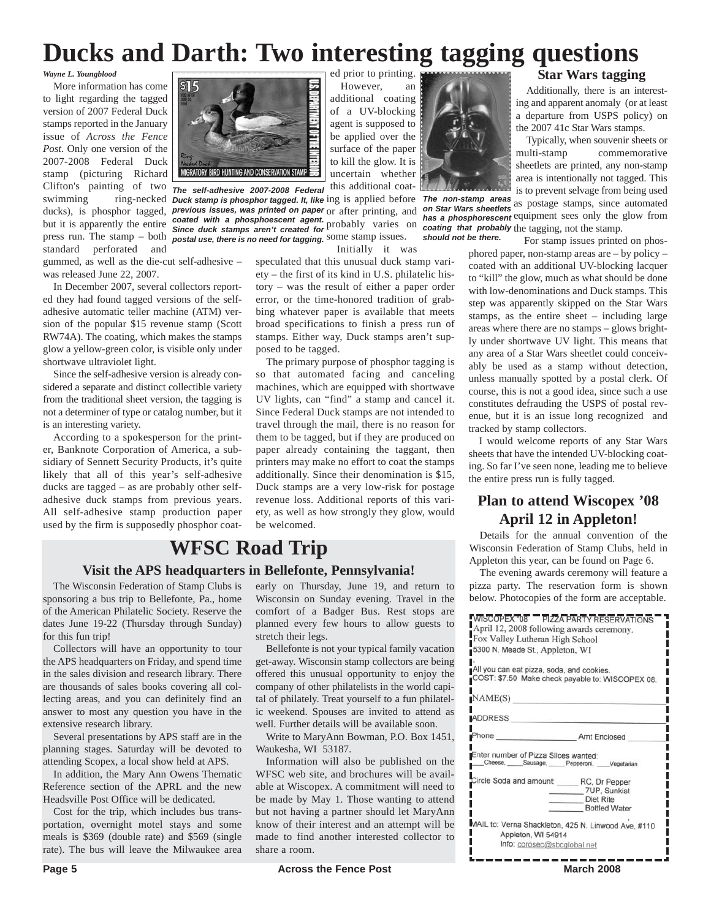## **Ducks and Darth: Two interesting tagging questions**

*Wayne L. Youngblood*

More information has come to light regarding the tagged version of 2007 Federal Duck stamps reported in the January issue of *Across the Fence Post*. Only one version of the 2007-2008 Federal Duck stamp (picturing Richard Clifton's painting of two *The self-adhesive 2007-2008 Federal* press run. The stamp – both **postal use, there is no need for tagging**. Some stamp issues. standard perforated and

gummed, as well as the die-cut self-adhesive – was released June 22, 2007.

In December 2007, several collectors reported they had found tagged versions of the selfadhesive automatic teller machine (ATM) version of the popular \$15 revenue stamp (Scott RW74A). The coating, which makes the stamps glow a yellow-green color, is visible only under shortwave ultraviolet light.

Since the self-adhesive version is already considered a separate and distinct collectible variety from the traditional sheet version, the tagging is not a determiner of type or catalog number, but it is an interesting variety.

According to a spokesperson for the printer, Banknote Corporation of America, a subsidiary of Sennett Security Products, it's quite likely that all of this year's self-adhesive ducks are tagged – as are probably other selfadhesive duck stamps from previous years. All self-adhesive stamp production paper used by the firm is supposedly phosphor coat-



ducks), is phosphor tagged, **previous issues, was printed on paper** or after printing, and but it is apparently the entire coated with a phosphoescent agent. probably varies on has a phosphorescent equipment sees only the stamp. uncertain whether this additional coat-*Since duck stamps aren't created for*

Initially it was

speculated that this unusual duck stamp variety – the first of its kind in U.S. philatelic history – was the result of either a paper order error, or the time-honored tradition of grabbing whatever paper is available that meets broad specifications to finish a press run of stamps. Either way, Duck stamps aren't supposed to be tagged.

The primary purpose of phosphor tagging is so that automated facing and canceling machines, which are equipped with shortwave UV lights, can "find" a stamp and cancel it. Since Federal Duck stamps are not intended to travel through the mail, there is no reason for them to be tagged, but if they are produced on paper already containing the taggant, then printers may make no effort to coat the stamps additionally. Since their denomination is \$15, Duck stamps are a very low-risk for postage revenue loss. Additional reports of this variety, as well as how strongly they glow, would be welcomed.

## **WFSC Road Trip**

### **Visit the APS headquarters in Bellefonte, Pennsylvania!**

The Wisconsin Federation of Stamp Clubs is sponsoring a bus trip to Bellefonte, Pa., home of the American Philatelic Society. Reserve the dates June 19-22 (Thursday through Sunday) for this fun trip!

Collectors will have an opportunity to tour the APS headquarters on Friday, and spend time in the sales division and research library. There are thousands of sales books covering all collecting areas, and you can definitely find an answer to most any question you have in the extensive research library.

Several presentations by APS staff are in the planning stages. Saturday will be devoted to attending Scopex, a local show held at APS.

In addition, the Mary Ann Owens Thematic Reference section of the APRL and the new Headsville Post Office will be dedicated.

Cost for the trip, which includes bus transportation, overnight motel stays and some meals is \$369 (double rate) and \$569 (single rate). The bus will leave the Milwaukee area early on Thursday, June 19, and return to Wisconsin on Sunday evening. Travel in the comfort of a Badger Bus. Rest stops are planned every few hours to allow guests to stretch their legs.

Bellefonte is not your typical family vacation get-away. Wisconsin stamp collectors are being offered this unusual opportunity to enjoy the company of other philatelists in the world capital of philately. Treat yourself to a fun philatelic weekend. Spouses are invited to attend as well. Further details will be available soon.

Write to MaryAnn Bowman, P.O. Box 1451, Waukesha, WI 53187.

Information will also be published on the WFSC web site, and brochures will be available at Wiscopex. A commitment will need to be made by May 1. Those wanting to attend but not having a partner should let MaryAnn know of their interest and an attempt will be made to find another interested collector to share a room.



**Star Wars tagging**

Additionally, there is an interesting and apparent anomaly (or at least a departure from USPS policy) on the 2007 41c Star Wars stamps.

Typically, when souvenir sheets or multi-stamp commemorative sheetlets are printed, any non-stamp area is intentionally not tagged. This is to prevent selvage from being used

swimming ring-necked **Duck stamp is phosphor tagged. It, like** ing is applied before **The non-stamp areas** as postage stamps, since automated has a phosphorescent equipment sees only the glow from *on Star Wars sheetlets has a phosphorescent coating that probably should not be there.*

For stamp issues printed on phosphored paper, non-stamp areas are – by policy – coated with an additional UV-blocking lacquer to "kill" the glow, much as what should be done with low-denominations and Duck stamps. This step was apparently skipped on the Star Wars stamps, as the entire sheet – including large areas where there are no stamps – glows brightly under shortwave UV light. This means that any area of a Star Wars sheetlet could conceivably be used as a stamp without detection, unless manually spotted by a postal clerk. Of course, this is not a good idea, since such a use constitutes defrauding the USPS of postal revenue, but it is an issue long recognized and tracked by stamp collectors.

I would welcome reports of any Star Wars sheets that have the intended UV-blocking coating. So far I've seen none, leading me to believe the entire press run is fully tagged.

## **Plan to attend Wiscopex '08 April 12 in Appleton!**

Details for the annual convention of the Wisconsin Federation of Stamp Clubs, held in Appleton this year, can be found on Page 6.

The evening awards ceremony will feature a pizza party. The reservation form is shown below. Photocopies of the form are acceptable.

| <b>WISCOPEX "08 PIZZA PARTY RESERVATIONS</b><br>April 12, 2008 following awards ceremony.<br>Fox Valley Lutheran High School<br>5300 N. Meade St., Appleton, WI<br>All you can eat pizza, soda, and cookies.<br>COST: \$7.50 Make check payable to: WISCOPEX 08.<br>NAME(S) |                                                                                                  |         |  |
|-----------------------------------------------------------------------------------------------------------------------------------------------------------------------------------------------------------------------------------------------------------------------------|--------------------------------------------------------------------------------------------------|---------|--|
|                                                                                                                                                                                                                                                                             |                                                                                                  | ADDRESS |  |
|                                                                                                                                                                                                                                                                             |                                                                                                  |         |  |
| Enter number of Pizza Slices wanted:                                                                                                                                                                                                                                        | Cheese, _____Sausage, _____Pepperoni, Vegetarian                                                 |         |  |
|                                                                                                                                                                                                                                                                             | Circle Soda and amount: _____ RC, Dr Pepper<br>7UP, Sunkist<br>Diet Rite<br><b>Bottled Water</b> |         |  |
| Appleton, WI 54914                                                                                                                                                                                                                                                          | MAIL to: Verna Shackleton, 425 N. Linwood Ave, #110                                              |         |  |
|                                                                                                                                                                                                                                                                             | Info: corosec@sbcglobal.net                                                                      |         |  |